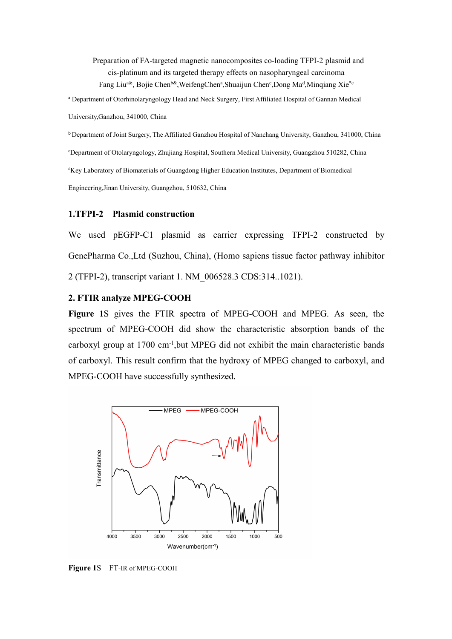Preparation of FA-targeted magnetic nanocomposites co-loading TFPI-2 plasmid and cis-platinum and its targeted therapy effects on nasopharyngeal carcinoma Fang Liu<sup>a&</sup>, Bojie Chen<sup>b&</sup>, WeifengChenª, Shuaijun Chen°, Dong Ma<sup>d</sup>, Minqiang Xie<sup>\*c</sup> <sup>a</sup> Department of Otorhinolaryngology Head and Neck Surgery, First Affiliated Hospital of Gannan Medical University,Ganzhou, 341000, China

<sup>b</sup> Department of Joint Surgery, The Affiliated Ganzhou Hospital of Nanchang University, Ganzhou, 341000, China <sup>c</sup>Department of Otolaryngology, Zhujiang Hospital, Southern Medical University, Guangzhou 510282, China <sup>d</sup>Key Laboratory of Biomaterials of Guangdong Higher Education Institutes, Department of Biomedical Engineering,Jinan University, Guangzhou, 510632, China

## **1.TFPI-2 Plasmid construction**

We used pEGFP-C1 plasmid as carrier expressing TFPI-2 constructed by GenePharma Co.,Ltd (Suzhou, China), (Homo sapiens tissue factor pathway inhibitor 2 (TFPI-2), transcript variant 1. NM\_006528.3 CDS:314..1021).

## **2. FTIR analyze MPEG-COOH**

**Figure** 1S gives the FTIR spectra of MPEG-COOH and MPEG. As seen, the spectrum of MPEG-COOH did show the characteristic absorption bands of the carboxyl group at 1700 cm<sup>-1</sup>, but MPEG did not exhibit the main characteristic bands of carboxyl. This result confirm that the hydroxy of MPEG changed to carboxyl, and MPEG-COOH have successfully synthesized.



**Figure 1**S FT-IR of MPEG-COOH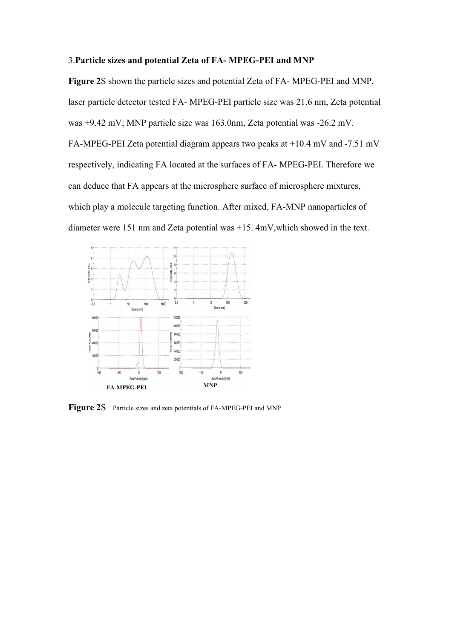## 3.**Particle sizes and potential Zeta of FA- MPEG-PEI and MNP**

**Figure 2**S shown the particle sizes and potential Zeta of FA- MPEG-PEI and MNP, laser particle detector tested FA- MPEG-PEI particle size was 21.6 nm, Zeta potential was +9.42 mV; MNP particle size was 163.0nm, Zeta potential was -26.2 mV. FA-MPEG-PEI Zeta potential diagram appears two peaks at +10.4 mV and -7.51 mV respectively, indicating FA located at the surfaces of FA- MPEG-PEI. Therefore we can deduce that FA appears at the microsphere surface of microsphere mixtures, which play a molecule targeting function. After mixed, FA-MNP nanoparticles of diameter were 151 nm and Zeta potential was +15. 4mV,which showed in the text.



**Figure 2S** Particle sizes and zeta potentials of FA-MPEG-PEI and MNP